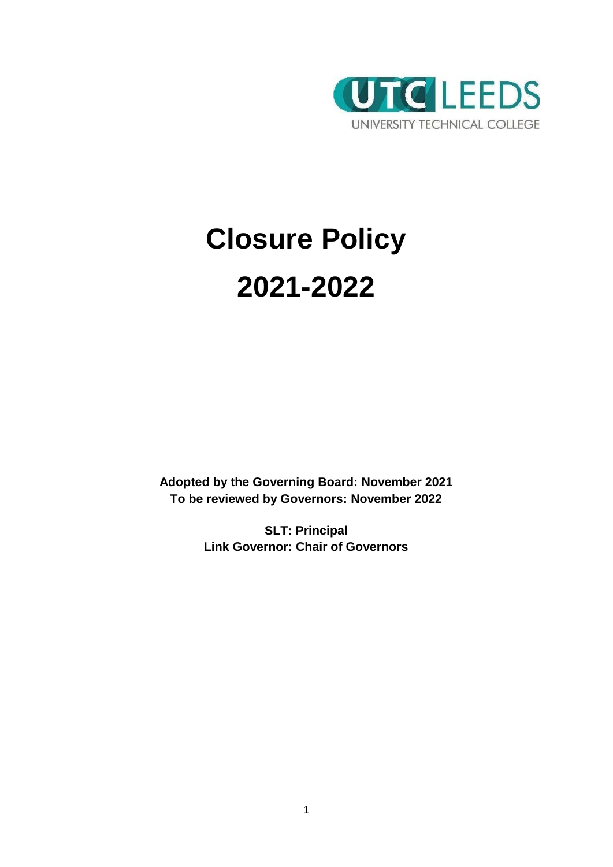

# **Closure Policy 2021-2022**

**Adopted by the Governing Board: November 2021 To be reviewed by Governors: November 2022**

> **SLT: Principal Link Governor: Chair of Governors**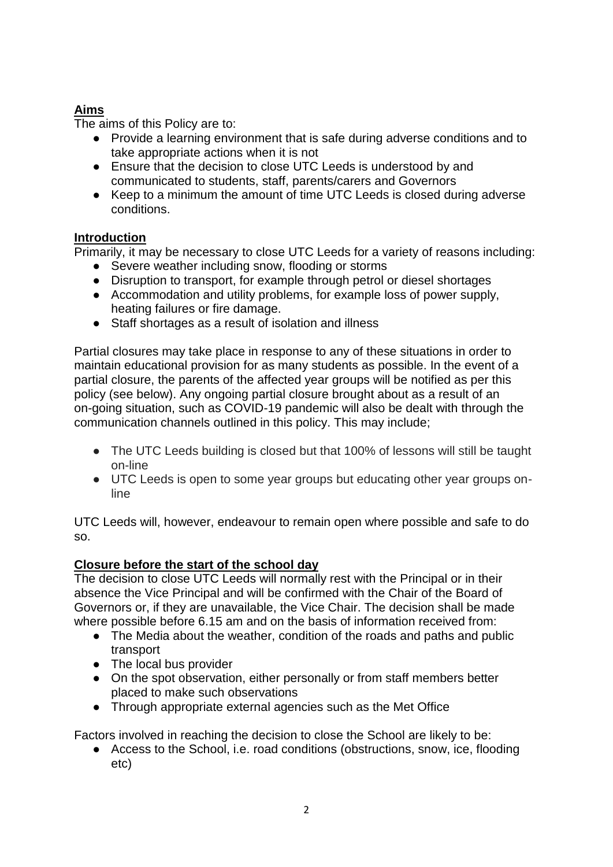# **Aims**

The aims of this Policy are to:

- Provide a learning environment that is safe during adverse conditions and to take appropriate actions when it is not
- Ensure that the decision to close UTC Leeds is understood by and communicated to students, staff, parents/carers and Governors
- Keep to a minimum the amount of time UTC Leeds is closed during adverse conditions.

## **Introduction**

Primarily, it may be necessary to close UTC Leeds for a variety of reasons including:

- Severe weather including snow, flooding or storms
- Disruption to transport, for example through petrol or diesel shortages
- Accommodation and utility problems, for example loss of power supply, heating failures or fire damage.
- Staff shortages as a result of isolation and illness

Partial closures may take place in response to any of these situations in order to maintain educational provision for as many students as possible. In the event of a partial closure, the parents of the affected year groups will be notified as per this policy (see below). Any ongoing partial closure brought about as a result of an on-going situation, such as COVID-19 pandemic will also be dealt with through the communication channels outlined in this policy. This may include;

- The UTC Leeds building is closed but that 100% of lessons will still be taught on-line
- UTC Leeds is open to some year groups but educating other year groups online

UTC Leeds will, however, endeavour to remain open where possible and safe to do so.

## **Closure before the start of the school day**

The decision to close UTC Leeds will normally rest with the Principal or in their absence the Vice Principal and will be confirmed with the Chair of the Board of Governors or, if they are unavailable, the Vice Chair. The decision shall be made where possible before 6.15 am and on the basis of information received from:

- The Media about the weather, condition of the roads and paths and public transport
- The local bus provider
- On the spot observation, either personally or from staff members better placed to make such observations
- Through appropriate external agencies such as the Met Office

Factors involved in reaching the decision to close the School are likely to be:

● Access to the School, i.e. road conditions (obstructions, snow, ice, flooding etc)